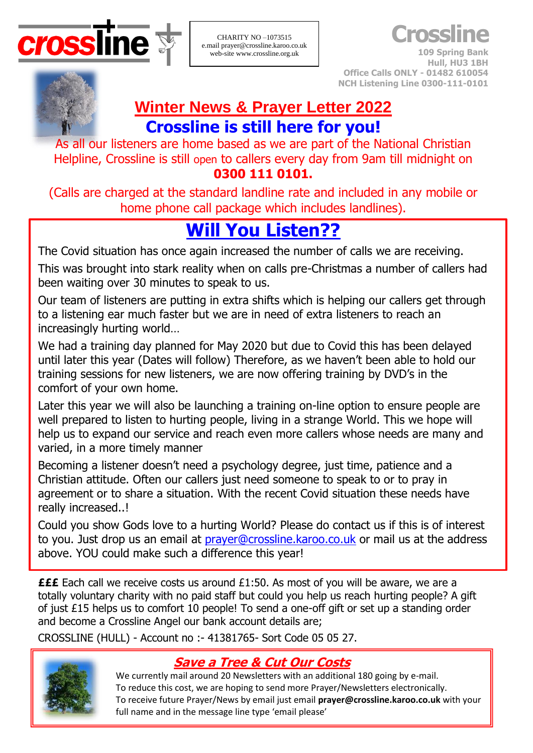

CHARITY NO –1073515 e.mail prayer@crossline.karoo.co.uk web-site www.crossline.org.uk

**Crossline**

**109 Spring Bank Hull, HU3 1BH Office Calls ONLY - 01482 610054 NCH Listening Line 0300-111-0101**

# **Winter News & Prayer Letter 2022 Crossline is still here for you!**

As all our listeners are home based as we are part of the National Christian Helpline, Crossline is still open to callers every day from 9am till midnight on **0300 111 0101.**

(Calls are charged at the standard landline rate and included in any mobile or home phone call package which includes landlines).

# **Will You Listen??**

The Covid situation has once again increased the number of calls we are receiving. This was brought into stark reality when on calls pre-Christmas a number of callers had been waiting over 30 minutes to speak to us.

Our team of listeners are putting in extra shifts which is helping our callers get through to a listening ear much faster but we are in need of extra listeners to reach an increasingly hurting world…

We had a training day planned for May 2020 but due to Covid this has been delayed until later this year (Dates will follow) Therefore, as we haven't been able to hold our training sessions for new listeners, we are now offering training by DVD's in the comfort of your own home.

Later this year we will also be launching a training on-line option to ensure people are well prepared to listen to hurting people, living in a strange World. This we hope will help us to expand our service and reach even more callers whose needs are many and varied, in a more timely manner

Becoming a listener doesn't need a psychology degree, just time, patience and a Christian attitude. Often our callers just need someone to speak to or to pray in agreement or to share a situation. With the recent Covid situation these needs have really increased..!

Could you show Gods love to a hurting World? Please do contact us if this is of interest to you. Just drop us an email at *[prayer@crossline.karoo.co.uk](mailto:prayer@crossline.karoo.co.uk)* or mail us at the address above. YOU could make such a difference this year!

**£££** Each call we receive costs us around £1:50. As most of you will be aware, we are a totally voluntary charity with no paid staff but could you help us reach hurting people? A gift of just £15 helps us to comfort 10 people! To send a one-off gift or set up a standing order and become a Crossline Angel our bank account details are;

CROSSLINE (HULL) - Account no :- 41381765- Sort Code 05 05 27.



## **Save a Tree & Cut Our Costs**

We currently mail around 20 Newsletters with an additional 180 going by e-mail. To reduce this cost, we are hoping to send more Prayer/Newsletters electronically. To receive future Prayer/News by email just email **[prayer@crossline.karoo.co.uk](mailto:prayer@crossline.karoo.co.uk)** with your full name and in the message line type 'email please'